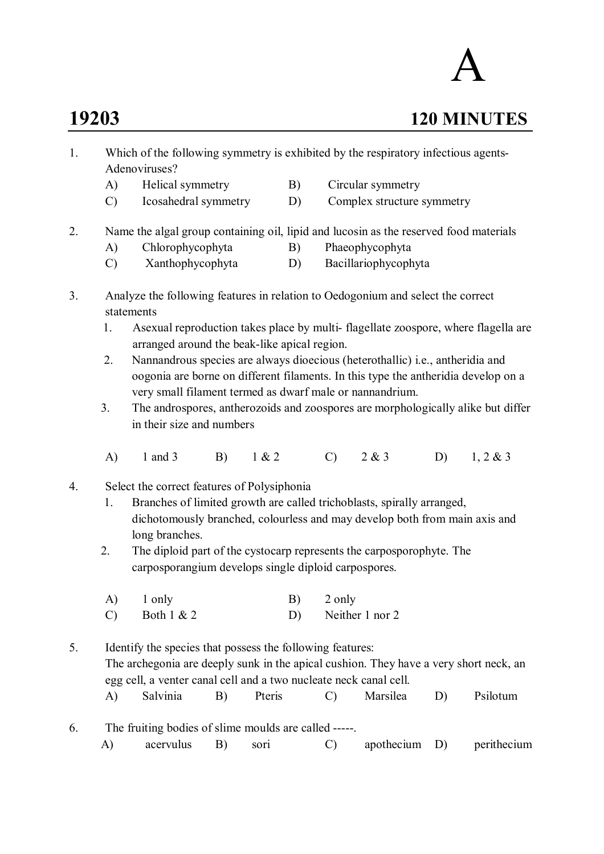## A

## **19203 120 MINUTES**

- 1. Which of the following symmetry is exhibited by the respiratory infectious agents-Adenoviruses?
	- A) Helical symmetry B) Circular symmetry
	- C) Icosahedral symmetry D) Complex structure symmetry
- 2. Name the algal group containing oil, lipid and lucosin as the reserved food materials
	- A) Chlorophycophyta B) Phaeophycophyta
	- C) Xanthophycophyta D) Bacillariophycophyta
- 3. Analyze the following features in relation to Oedogonium and select the correct statements
	- 1. Asexual reproduction takes place by multi- flagellate zoospore, where flagella are arranged around the beak-like apical region.
	- 2. Nannandrous species are always dioecious (heterothallic) i.e., antheridia and oogonia are borne on different filaments. In this type the antheridia develop on a very small filament termed as dwarf male or nannandrium.
	- 3. The androspores, antherozoids and zoospores are morphologically alike but differ in their size and numbers
	- A) 1 and 3 B) 1 & 2 C) 2 & 3 D) 1, 2 & 3
- 4. Select the correct features of Polysiphonia
	- 1. Branches of limited growth are called trichoblasts, spirally arranged, dichotomously branched, colourless and may develop both from main axis and long branches.
	- 2. The diploid part of the cystocarp represents the carposporophyte. The carposporangium develops single diploid carpospores.
	- A) 1 only B) 2 only C) Both  $1 \& 2$  D) Neither 1 nor 2
- 5. Identify the species that possess the following features: The archegonia are deeply sunk in the apical cushion. They have a very short neck, an egg cell, a venter canal cell and a two nucleate neck canal cell. A) Salvinia B) Pteris C) Marsilea D) Psilotum
- 6. The fruiting bodies of slime moulds are called -----. A) acervulus B) sori C) apothecium D) perithecium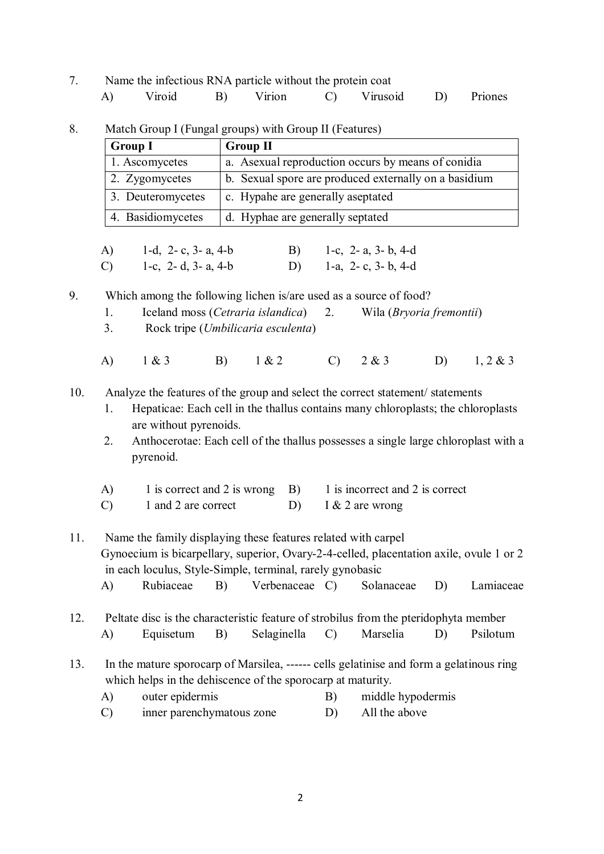|  | Name the infectious RNA particle without the protein coat |    |                   |  |            |
|--|-----------------------------------------------------------|----|-------------------|--|------------|
|  | Viroid                                                    | B) | Virion C Virusoid |  | D) Priones |

8. Match Group I (Fungal groups) with Group II (Features)

| <b>Group I</b>    | <b>Group II</b>                                       |
|-------------------|-------------------------------------------------------|
| 1. Ascomycetes    | a. As exual reproduction occurs by means of conidia   |
| 2. Zygomycetes    | b. Sexual spore are produced externally on a basidium |
| 3. Deuteromycetes | c. Hypahe are generally aseptated                     |
| 4. Basidiomycetes | d. Hyphae are generally septated                      |

A) 1-d, 2- c, 3- a, 4-b B) 1-c, 2- a, 3- b, 4-d C) 1-c, 2- d, 3- a, 4-b D) 1-a, 2- c, 3- b, 4-d

9. Which among the following lichen is/are used as a source of food?

- 1. Iceland moss (*Cetraria islandica*) 2. Wila (*Bryoria fremontii*)
- 3. Rock tripe (*Umbilicaria esculenta*)
- A) 1 & 3 B) 1 & 2 C) 2 & 3 D) 1, 2 & 3

10. Analyze the features of the group and select the correct statement/ statements

- 1. Hepaticae: Each cell in the thallus contains many chloroplasts; the chloroplasts are without pyrenoids.
- 2. Anthocerotae: Each cell of the thallus possesses a single large chloroplast with a pyrenoid.
- A) 1 is correct and 2 is wrong B) 1 is incorrect and 2 is correct
- C) 1 and 2 are correct D) I & 2 are wrong
- 11. Name the family displaying these features related with carpel Gynoecium is bicarpellary, superior, Ovary-2-4-celled, placentation axile, ovule 1 or 2 in each loculus, Style-Simple, terminal, rarely gynobasic A) Rubiaceae B) Verbenaceae C) Solanaceae D) Lamiaceae
- 12. Peltate disc is the characteristic feature of strobilus from the pteridophyta member A) Equisetum B) Selaginella C) Marselia D) Psilotum
- 13. In the mature sporocarp of Marsilea, ------ cells gelatinise and form a gelatinous ring which helps in the dehiscence of the sporocarp at maturity.
	- A) outer epidermis B) middle hypodermis
	- C) inner parenchymatous zone D) All the above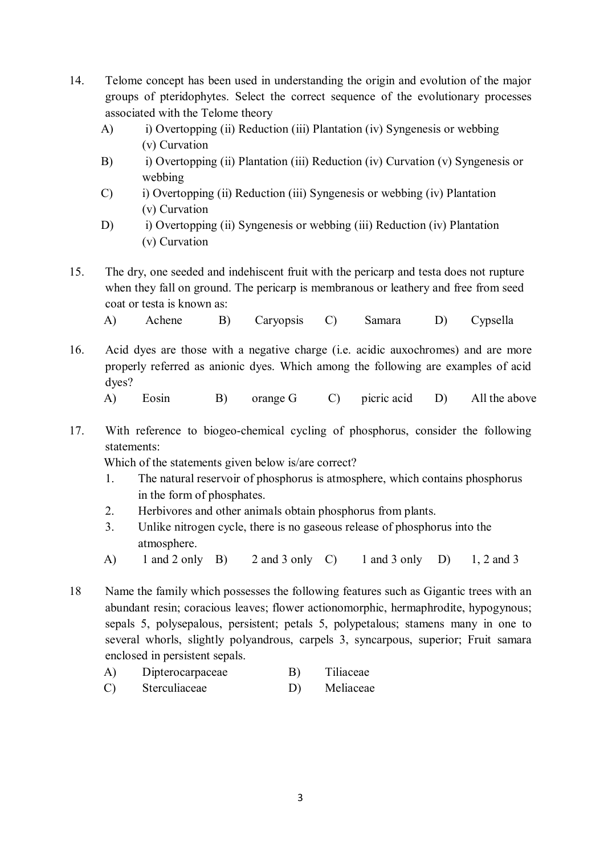- 14. Telome concept has been used in understanding the origin and evolution of the major groups of pteridophytes. Select the correct sequence of the evolutionary processes associated with the Telome theory
	- A) i) Overtopping (ii) Reduction (iii) Plantation (iv) Syngenesis or webbing (v) Curvation
	- B) i) Overtopping (ii) Plantation (iii) Reduction (iv) Curvation (v) Syngenesis or webbing
	- C) i) Overtopping (ii) Reduction (iii) Syngenesis or webbing (iv) Plantation (v) Curvation
	- D) i) Overtopping (ii) Syngenesis or webbing (iii) Reduction (iv) Plantation (v) Curvation
- 15. The dry, one seeded and indehiscent fruit with the pericarp and testa does not rupture when they fall on ground. The pericarp is membranous or leathery and free from seed coat or testa is known as:
	- A) Achene B) Caryopsis C) Samara D) Cypsella
- 16. Acid dyes are those with a negative charge (i.e. acidic auxochromes) and are more properly referred as anionic dyes. Which among the following are examples of acid dyes?
	- A) Eosin B) orange G C) picric acid D) All the above
- 17. With reference to biogeo-chemical cycling of phosphorus, consider the following statements:

Which of the statements given below is/are correct?

- 1. The natural reservoir of phosphorus is atmosphere, which contains phosphorus in the form of phosphates.
- 2. Herbivores and other animals obtain phosphorus from plants.
- 3. Unlike nitrogen cycle, there is no gaseous release of phosphorus into the atmosphere.
- A) 1 and 2 only B) 2 and 3 only C) 1 and 3 only D) 1, 2 and 3
- 18 Name the family which possesses the following features such as Gigantic trees with an abundant resin; coracious leaves; flower actionomorphic, hermaphrodite, hypogynous; sepals 5, polysepalous, persistent; petals 5, polypetalous; stamens many in one to several whorls, slightly polyandrous, carpels 3, syncarpous, superior; Fruit samara enclosed in persistent sepals.
	- A) Dipterocarpaceae B) Tiliaceae
	- C) Sterculiaceae D) Meliaceae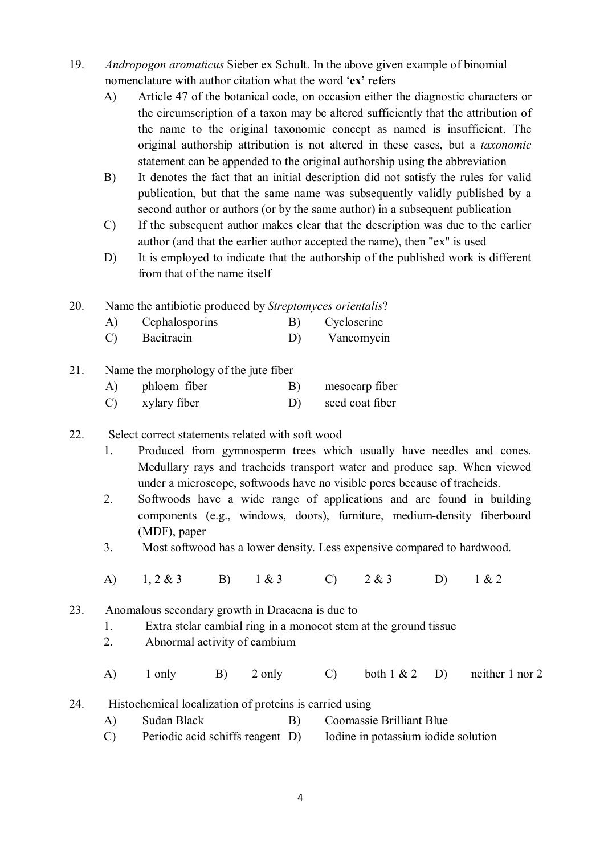- 19. *Andropogon aromaticus* Sieber ex Schult. In the above given example of binomial nomenclature with author citation what the word '**ex'** refers
	- A) Article 47 of the botanical code, on occasion either the diagnostic characters or the circumscription of a taxon may be altered sufficiently that the attribution of the name to the original taxonomic concept as named is insufficient. The original authorship attribution is not altered in these cases, but a *taxonomic* statement can be appended to the original authorship using the abbreviation
	- B) It denotes the fact that an initial description did not satisfy the rules for valid publication, but that the same name was subsequently validly published by a second author or authors (or by the same author) in a subsequent publication
	- C) If the subsequent author makes clear that the description was due to the earlier author (and that the earlier author accepted the name), then "ex" is used
	- D) It is employed to indicate that the authorship of the published work is different from that of the name itself
- 20. Name the antibiotic produced by *Streptomyces orientalis*?
	- A) Cephalosporins B) Cycloserine
	- C) Bacitracin D) Vancomycin
- 21. Name the morphology of the jute fiber
	- A) phloem fiber B) mesocarp fiber
	- C) xylary fiber D) seed coat fiber
- 22. Select correct statements related with soft wood
	- 1. Produced from gymnosperm trees which usually have needles and cones. Medullary rays and tracheids transport water and produce sap. When viewed under a microscope, softwoods have no visible pores because of tracheids.
	- 2. Softwoods have a wide range of applications and are found in building components (e.g., windows, doors), furniture, medium-density fiberboard (MDF), paper
	- 3. Most softwood has a lower density. Less expensive compared to hardwood.
	- A) 1, 2 & 3 B) 1 & 3 C) 2 & 3 D) 1 & 2
- 23. Anomalous secondary growth in Dracaena is due to
	- 1. Extra stelar cambial ring in a monocot stem at the ground tissue
	- 2. Abnormal activity of cambium
	- A) 1 only B) 2 only C) both  $1 \& 2 \quad D$  neither 1 nor 2
- 24. Histochemical localization of proteins is carried using
	- A) Sudan Black B) Coomassie Brilliant Blue
	- C) Periodic acid schiffs reagent D) Iodine in potassium iodide solution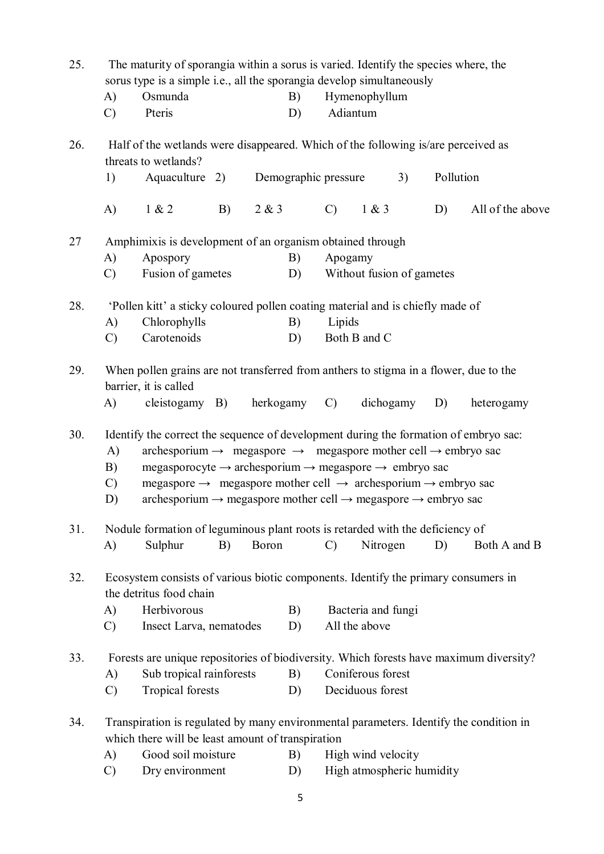| 25. | A)<br>$\mathcal{C}$             | The maturity of sporangia within a sorus is varied. Identify the species where, the<br>sorus type is a simple i.e., all the sporangia develop simultaneously<br>Osmunda<br>Pteris                                                                                                                                                                                                                                                                                                                |    |           | B)<br>D) |                      | Hymenophyllum<br>Adiantum             |    |           |                  |
|-----|---------------------------------|--------------------------------------------------------------------------------------------------------------------------------------------------------------------------------------------------------------------------------------------------------------------------------------------------------------------------------------------------------------------------------------------------------------------------------------------------------------------------------------------------|----|-----------|----------|----------------------|---------------------------------------|----|-----------|------------------|
| 26. |                                 | Half of the wetlands were disappeared. Which of the following is/are perceived as<br>threats to wetlands?                                                                                                                                                                                                                                                                                                                                                                                        |    |           |          |                      |                                       |    |           |                  |
|     | 1)                              | Aquaculture 2)                                                                                                                                                                                                                                                                                                                                                                                                                                                                                   |    |           |          | Demographic pressure |                                       | 3) | Pollution |                  |
|     | A)                              | 1 & 2                                                                                                                                                                                                                                                                                                                                                                                                                                                                                            | B) | 2 & 3     |          | $\mathcal{C}$        | 1 & 3                                 |    | D)        | All of the above |
| 27  |                                 | Amphimixis is development of an organism obtained through                                                                                                                                                                                                                                                                                                                                                                                                                                        |    |           |          |                      |                                       |    |           |                  |
|     | A)                              | Apospory                                                                                                                                                                                                                                                                                                                                                                                                                                                                                         |    |           | B)       | Apogamy              |                                       |    |           |                  |
|     | $\mathcal{C}$                   | Fusion of gametes                                                                                                                                                                                                                                                                                                                                                                                                                                                                                |    |           | D)       |                      | Without fusion of gametes             |    |           |                  |
| 28. |                                 | 'Pollen kitt' a sticky coloured pollen coating material and is chiefly made of                                                                                                                                                                                                                                                                                                                                                                                                                   |    |           |          |                      |                                       |    |           |                  |
|     | A)                              | Chlorophylls                                                                                                                                                                                                                                                                                                                                                                                                                                                                                     |    |           | B)       | Lipids               |                                       |    |           |                  |
|     | $\mathcal{C}$                   | Carotenoids                                                                                                                                                                                                                                                                                                                                                                                                                                                                                      |    |           | D)       |                      | Both B and C                          |    |           |                  |
| 29. |                                 | When pollen grains are not transferred from anthers to stigma in a flower, due to the<br>barrier, it is called                                                                                                                                                                                                                                                                                                                                                                                   |    |           |          |                      |                                       |    |           |                  |
|     | A)                              | cleistogamy B)                                                                                                                                                                                                                                                                                                                                                                                                                                                                                   |    | herkogamy |          | $\mathcal{C}$        | dichogamy                             |    | D)        | heterogamy       |
| 30. | A)<br>B)<br>$\mathcal{C}$<br>D) | Identify the correct the sequence of development during the formation of embryo sac:<br>archesporium $\rightarrow$ megaspore $\rightarrow$ megaspore mother cell $\rightarrow$ embryo sac<br>megasporocyte $\rightarrow$ archesporium $\rightarrow$ megaspore $\rightarrow$ embryo sac<br>megaspore $\rightarrow$ megaspore mother cell $\rightarrow$ archesporium $\rightarrow$ embryo sac<br>archesporium $\rightarrow$ megaspore mother cell $\rightarrow$ megaspore $\rightarrow$ embryo sac |    |           |          |                      |                                       |    |           |                  |
| 31. | $\bf{A}$                        | Nodule formation of leguminous plant roots is retarded with the deficiency of<br>Sulphur                                                                                                                                                                                                                                                                                                                                                                                                         | B) | Boron     |          | $\mathcal{C}$        | Nitrogen                              |    | D)        | Both A and B     |
| 32. | A)<br>$\mathcal{C}$             | Ecosystem consists of various biotic components. Identify the primary consumers in<br>the detritus food chain<br>Herbivorous<br>Insect Larva, nematodes                                                                                                                                                                                                                                                                                                                                          |    |           | B)<br>D) |                      | Bacteria and fungi<br>All the above   |    |           |                  |
| 33. | A)<br>$\mathcal{C}$             | Forests are unique repositories of biodiversity. Which forests have maximum diversity?<br>Sub tropical rainforests<br><b>Tropical forests</b>                                                                                                                                                                                                                                                                                                                                                    |    |           | B)<br>D) |                      | Coniferous forest<br>Deciduous forest |    |           |                  |
| 34. | A)                              | Transpiration is regulated by many environmental parameters. Identify the condition in<br>which there will be least amount of transpiration<br>Good soil moisture                                                                                                                                                                                                                                                                                                                                |    |           | B)       |                      | High wind velocity                    |    |           |                  |
|     | $\mathcal{C}$                   | Dry environment                                                                                                                                                                                                                                                                                                                                                                                                                                                                                  |    |           | D)       |                      | High atmospheric humidity             |    |           |                  |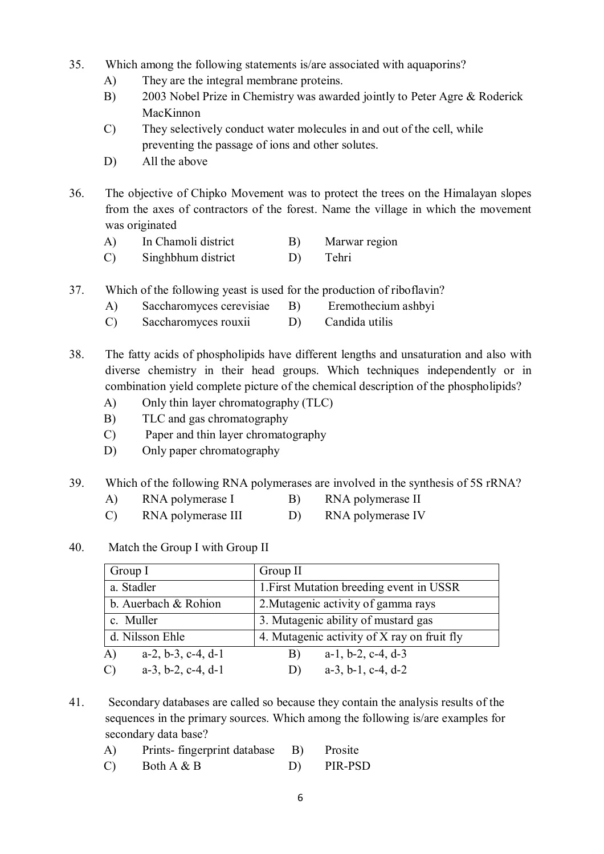- 35. Which among the following statements is/are associated with aquaporins?
	- A) They are the integral membrane proteins.
	- B) 2003 Nobel Prize in Chemistry was awarded jointly to Peter Agre & Roderick MacKinnon
	- C) They selectively conduct water molecules in and out of the cell, while preventing the passage of ions and other solutes.
	- D) All the above
- 36. The objective of Chipko Movement was to protect the trees on the Himalayan slopes from the axes of contractors of the forest. Name the village in which the movement was originated
	- A) In Chamoli district B) Marwar region
	- C) Singhbhum district D) Tehri
- 37. Which of the following yeast is used for the production of riboflavin?
	- A) Saccharomyces cerevisiae B) Eremothecium ashbyi
	- C) Saccharomyces rouxii D) Candida utilis
- 38. The fatty acids of phospholipids have different lengths and unsaturation and also with diverse chemistry in their head groups. Which techniques independently or in combination yield complete picture of the chemical description of the phospholipids?
	- A) Only thin layer chromatography (TLC)
	- B) TLC and gas chromatography
	- C) Paper and thin layer chromatography
	- D) Only paper chromatography
- 39. Which of the following RNA polymerases are involved in the synthesis of 5S rRNA?
	- A) RNA polymerase I B) RNA polymerase II
	- C) RNA polymerase III D) RNA polymerase IV

## 40. Match the Group I with Group II

| Group I                                        | Group II                                      |  |  |  |  |  |
|------------------------------------------------|-----------------------------------------------|--|--|--|--|--|
| a. Stadler                                     | 1. First Mutation breeding event in USSR      |  |  |  |  |  |
| b. Auerbach & Rohion                           | 2. Mutagenic activity of gamma rays           |  |  |  |  |  |
| c. Muller                                      | 3. Mutagenic ability of mustard gas           |  |  |  |  |  |
| d. Nilsson Ehle                                | 4. Mutagenic activity of X ray on fruit fly   |  |  |  |  |  |
| $a-2, b-3, c-4, d-1$<br>$\bf{A}$               | $a-1$ , $b-2$ , $c-4$ , $d-3$<br>B)           |  |  |  |  |  |
| $a-3$ , $b-2$ , $c-4$ , $d-1$<br>$\mathcal{C}$ | $a-3$ , $b-1$ , $c-4$ , $d-2$<br>$\mathbf{D}$ |  |  |  |  |  |

- 41. Secondary databases are called so because they contain the analysis results of the sequences in the primary sources. Which among the following is/are examples for secondary data base?
	- A) Prints- fingerprint database B) Prosite  $(C)$  Both  $A \& B$  D) PIR-PSD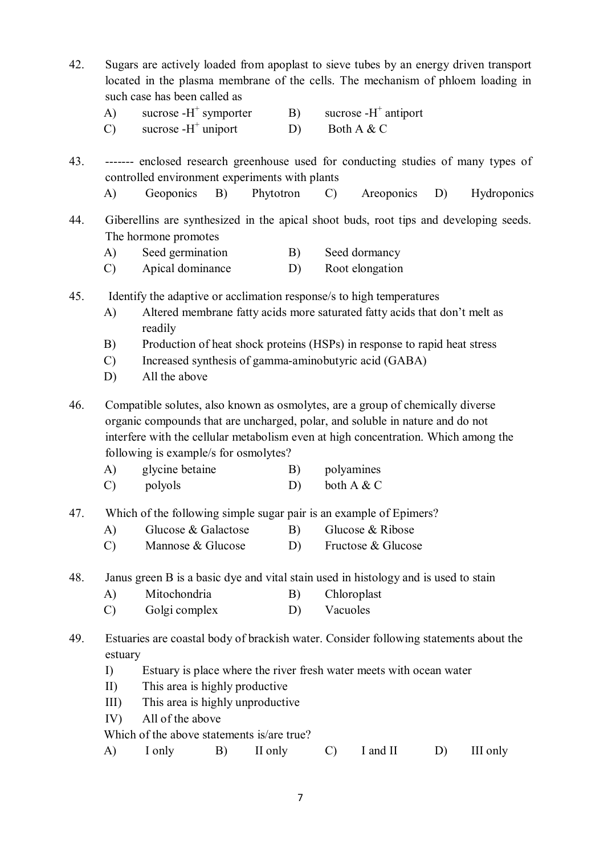- 42. Sugars are actively loaded from apoplast to sieve tubes by an energy driven transport located in the plasma membrane of the cells. The mechanism of phloem loading in such case has been called as
	- A) sucrose  $-H^+$ symporter  $B)$  sucrose -H<sup>+</sup> antiport
	- $C)$  sucrose - $H^+$ D) Both A  $&$  C
- 43. ------- enclosed research greenhouse used for conducting studies of many types of controlled environment experiments with plants
	- A) Geoponics B) Phytotron C) Areoponics D) Hydroponics
- 44. Giberellins are synthesized in the apical shoot buds, root tips and developing seeds. The hormone promotes
	- A) Seed germination B) Seed dormancy
	- C) Apical dominance D) Root elongation
- 45. Identify the adaptive or acclimation response/s to high temperatures
	- A) Altered membrane fatty acids more saturated fatty acids that don't melt as readily
	- B) Production of heat shock proteins (HSPs) in response to rapid heat stress
	- C) Increased synthesis of gamma-aminobutyric acid (GABA)
	- D) All the above

46. Compatible solutes, also known as osmolytes, are a group of chemically diverse organic compounds that are uncharged, polar, and soluble in nature and do not interfere with the cellular metabolism even at high concentration. Which among the following is example/s for osmolytes?

- A) glycine betaine B) polyamines
- C) polyols D) both A & C
- 47. Which of the following simple sugar pair is an example of Epimers?
	- A) Glucose & Galactose B) Glucose & Ribose
	- C) Mannose & Glucose D) Fructose & Glucose
- 48. Janus green B is a basic dye and vital stain used in histology and is used to stain
	- A) Mitochondria B) Chloroplast
	- C) Golgi complex D) Vacuoles
- 49. Estuaries are coastal body of brackish water. Consider following statements about the estuary
	- I) Estuary is place where the river fresh water meets with ocean water
	- II) This area is highly productive
	- III) This area is highly unproductive
	- IV) All of the above

Which of the above statements is/are true?

A) I only B) II only C) I and II D) III only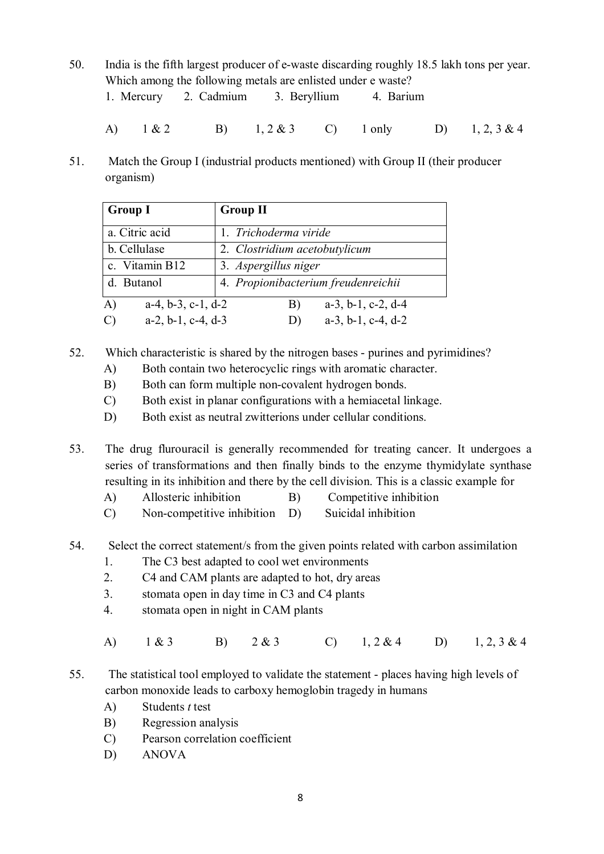- 50. India is the fifth largest producer of e-waste discarding roughly 18.5 lakh tons per year. Which among the following metals are enlisted under e waste?
	- 1. Mercury 2. Cadmium 3. Beryllium 4. Barium
	- A) 1 & 2 B) 1, 2 & 3 C) 1 only D) 1, 2, 3 & 4
- 51. Match the Group I (industrial products mentioned) with Group II (their producer organism)

| <b>Group I</b>             | <b>Group II</b>                     |
|----------------------------|-------------------------------------|
| a. Citric acid             | 1. Trichoderma viride               |
| b. Cellulase               | 2. Clostridium acetobutylicum       |
| c. Vitamin B12             | 3. Aspergillus niger                |
| d. Butanol                 | 4. Propionibacterium freudenreichii |
| $a-4, b-3, c-1, d-2$<br>A) | $a-3$ , $b-1$ , $c-2$ , $d-4$<br>B) |
| $a-2, b-1, c-4, d-3$       | $a-3$ , $b-1$ , $c-4$ , $d-2$<br>D) |

- 52. Which characteristic is shared by the nitrogen bases purines and pyrimidines?
	- A) Both contain two heterocyclic rings with aromatic character.
	- B) Both can form multiple non-covalent hydrogen bonds.
	- C) Both exist in planar configurations with a hemiacetal linkage.
	- D) Both exist as neutral zwitterions under cellular conditions.

53. The drug flurouracil is generally recommended for treating cancer. It undergoes a series of transformations and then finally binds to the enzyme thymidylate synthase resulting in its inhibition and there by the cell division. This is a classic example for

- A) Allosteric inhibition B) Competitive inhibition
- C) Non-competitive inhibition D) Suicidal inhibition
- 54. Select the correct statement/s from the given points related with carbon assimilation
	- 1. The C3 best adapted to cool wet environments
	- 2. C4 and CAM plants are adapted to hot, dry areas
	- 3. stomata open in day time in C3 and C4 plants
	- 4. stomata open in night in CAM plants
	- A) 1 & 3 B) 2 & 3 C) 1, 2 & 4 D) 1, 2, 3 & 4
- 55. The statistical tool employed to validate the statement places having high levels of carbon monoxide leads to carboxy hemoglobin tragedy in humans
	- A) Students *t* test
	- B) Regression analysis
	- C) Pearson correlation coefficient
	- D) ANOVA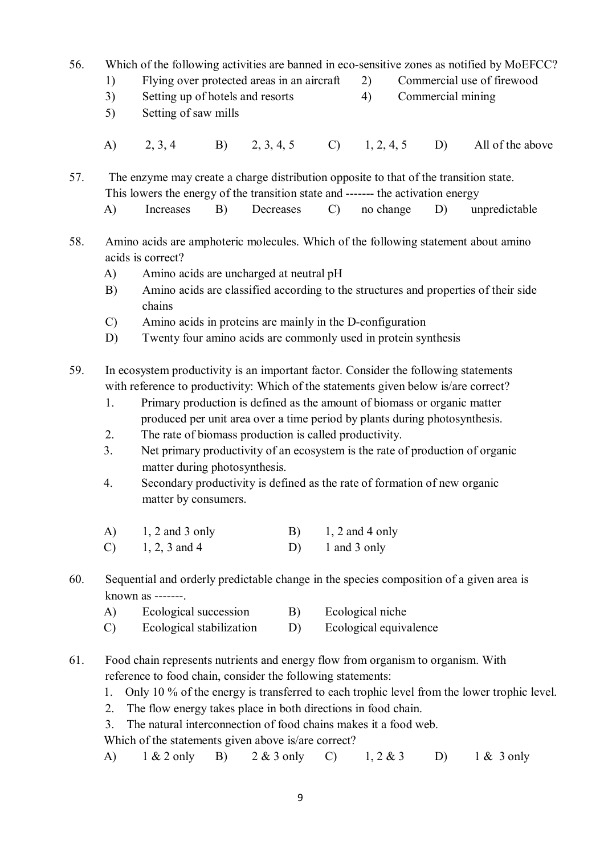- 56. Which of the following activities are banned in eco-sensitive zones as notified by MoEFCC?
	- 1) Flying over protected areas in an aircraft 2) Commercial use of firewood
	- 3) Setting up of hotels and resorts 4) Commercial mining
	- 5) Setting of saw mills
	- A) 2, 3, 4 B) 2, 3, 4, 5 C) 1, 2, 4, 5 D) All of the above

57. The enzyme may create a charge distribution opposite to that of the transition state. This lowers the energy of the transition state and ------- the activation energy

- A) Increases B) Decreases C) no change D) unpredictable
- 58. Amino acids are amphoteric molecules. Which of the following statement about amino acids is correct?
	- A) Amino acids are uncharged at neutral pH
	- B) Amino acids are classified according to the structures and properties of their side chains
	- C) Amino acids in proteins are mainly in the D-configuration
	- D) Twenty four amino acids are commonly used in protein synthesis

59. In ecosystem productivity is an important factor. Consider the following statements with reference to productivity: Which of the statements given below is/are correct?

- 1. Primary production is defined as the amount of biomass or organic matter produced per unit area over a time period by plants during photosynthesis.
- 2. The rate of biomass production is called productivity.
- 3. Net primary productivity of an ecosystem is the rate of production of organic matter during photosynthesis.
- 4. Secondary productivity is defined as the rate of formation of new organic matter by consumers.
- A)  $1, 2$  and 3 only B)  $1, 2$  and 4 only
- C)  $1, 2, 3$  and 4 D) 1 and 3 only
- 60. Sequential and orderly predictable change in the species composition of a given area is known as -------.
	- A) Ecological succession B) Ecological niche
	- C) Ecological stabilization D) Ecological equivalence
- 61. Food chain represents nutrients and energy flow from organism to organism. With reference to food chain, consider the following statements:
	- 1. Only 10 % of the energy is transferred to each trophic level from the lower trophic level.
	- 2. The flow energy takes place in both directions in food chain.
	- 3. The natural interconnection of food chains makes it a food web.

Which of the statements given above is/are correct?

A) 1 & 2 only B) 2 & 3 only C) 1, 2 & 3 D) 1 & 3 only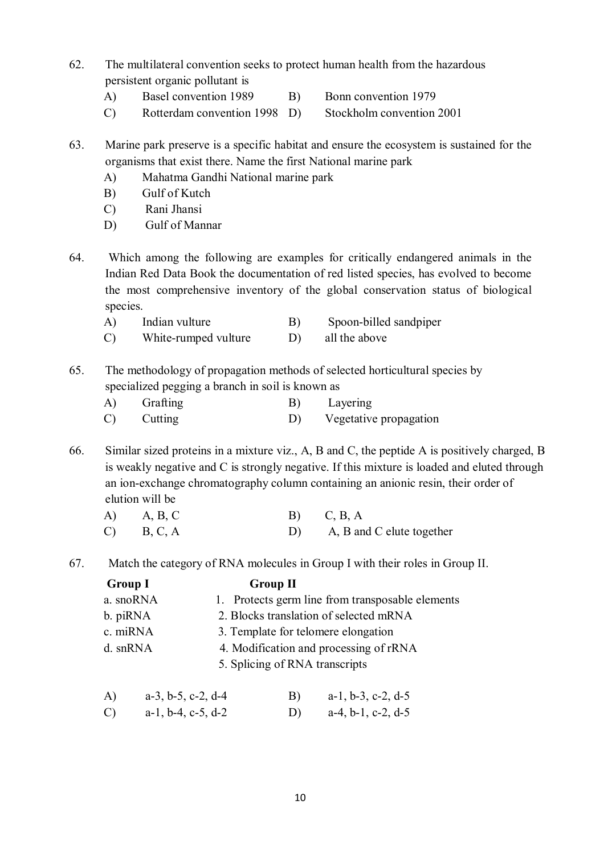- 62. The multilateral convention seeks to protect human health from the hazardous persistent organic pollutant is
	- A) Basel convention 1989 B) Bonn convention 1979
		-
	- C) Rotterdam convention 1998 D) Stockholm convention 2001

63. Marine park preserve is a specific habitat and ensure the ecosystem is sustained for the organisms that exist there. Name the first National marine park

- A) Mahatma Gandhi National marine park
- B) Gulf of Kutch
- C) Rani Jhansi
- D) Gulf of Mannar
- 64. Which among the following are examples for critically endangered animals in the Indian Red Data Book the documentation of red listed species, has evolved to become the most comprehensive inventory of the global conservation status of biological species.
	- A) Indian vulture B) Spoon-billed sandpiper
	- C) White-rumped vulture D) all the above
- 65. The methodology of propagation methods of selected horticultural species by specialized pegging a branch in soil is known as
	- A) Grafting B) Layering C) Cutting D) Vegetative propagation
- 66. Similar sized proteins in a mixture viz., A, B and C, the peptide A is positively charged, B is weakly negative and C is strongly negative. If this mixture is loaded and eluted through an ion-exchange chromatography column containing an anionic resin, their order of elution will be

| $(A)$ $A, B, C$ | $B)$ $C, B, A$               |
|-----------------|------------------------------|
| $C)$ B, C, A    | D) A, B and C elute together |

67. Match the category of RNA molecules in Group I with their roles in Group II.

Group I Group II a. snoRNA 1. Protects germ line from transposable elements b. piRNA 2. Blocks translation of selected mRNA c. miRNA 3. Template for telomere elongation d. snRNA 4. Modification and processing of rRNA 5. Splicing of RNA transcripts A) a-3, b-5, c-2, d-4 B) a-1, b-3, c-2, d-5

C) a-1, b-4, c-5, d-2 D) a-4, b-1, c-2, d-5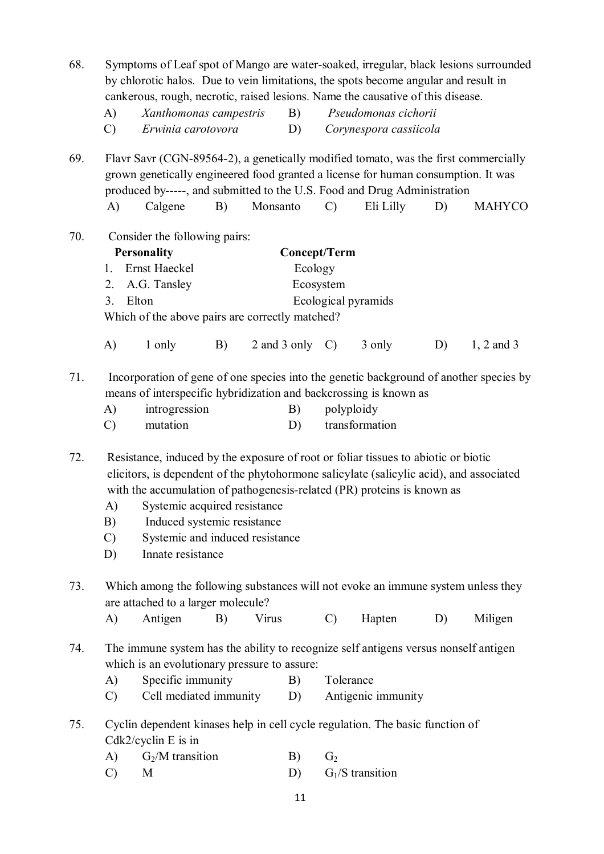| 68. | A)<br>$\mathcal{C}$             | by chlorotic halos. Due to vein limitations, the spots become angular and result in<br>cankerous, rough, necrotic, raised lesions. Name the causative of this disease.<br>Xanthomonas campestris<br>Erwinia carotovora                                                                                                                                                          |    | B)<br>D)                       |                | Pseudomonas cichorii<br>Corynespora cassiicola |    | Symptoms of Leaf spot of Mango are water-soaked, irregular, black lesions surrounded   |
|-----|---------------------------------|---------------------------------------------------------------------------------------------------------------------------------------------------------------------------------------------------------------------------------------------------------------------------------------------------------------------------------------------------------------------------------|----|--------------------------------|----------------|------------------------------------------------|----|----------------------------------------------------------------------------------------|
| 69. | $\mathbf{A}$                    | Flavr Savr (CGN-89564-2), a genetically modified tomato, was the first commercially<br>grown genetically engineered food granted a license for human consumption. It was<br>produced by-----, and submitted to the U.S. Food and Drug Administration<br>Calgene                                                                                                                 | B) | Monsanto                       | $\mathcal{C}$  | Eli Lilly                                      | D) | <b>MAHYCO</b>                                                                          |
| 70. | $1_{-}$<br>2.<br>3 <sub>1</sub> | Consider the following pairs:<br><b>Personality</b><br>Ernst Haeckel<br>A.G. Tansley<br>Elton<br>Which of the above pairs are correctly matched?                                                                                                                                                                                                                                |    | <b>Concept/Term</b><br>Ecology | Ecosystem      | Ecological pyramids                            |    |                                                                                        |
|     | A)                              | 1 only                                                                                                                                                                                                                                                                                                                                                                          | B) | 2 and 3 only $C$ )             |                | 3 only                                         | D) | $1, 2$ and 3                                                                           |
| 71. | A)<br>$\mathcal{C}$             | means of interspecific hybridization and backcrossing is known as<br>introgression<br>mutation                                                                                                                                                                                                                                                                                  |    | B)<br>D)                       |                | polyploidy<br>transformation                   |    | Incorporation of gene of one species into the genetic background of another species by |
| 72. | A)<br>B)<br>$\mathcal{C}$<br>D) | Resistance, induced by the exposure of root or foliar tissues to abiotic or biotic<br>elicitors, is dependent of the phytohormone salicylate (salicylic acid), and associated<br>with the accumulation of pathogenesis-related (PR) proteins is known as<br>Systemic acquired resistance<br>Induced systemic resistance<br>Systemic and induced resistance<br>Innate resistance |    |                                |                |                                                |    |                                                                                        |
| 73. |                                 | Which among the following substances will not evoke an immune system unless they<br>are attached to a larger molecule?                                                                                                                                                                                                                                                          |    |                                |                |                                                |    |                                                                                        |
|     | A)                              | Antigen                                                                                                                                                                                                                                                                                                                                                                         | B) | Virus                          | $\mathcal{C}$  | Hapten                                         | D) | Miligen                                                                                |
| 74. | A)<br>$\mathcal{C}$             | The immune system has the ability to recognize self antigens versus nonself antigen<br>which is an evolutionary pressure to assure:<br>Specific immunity<br>Cell mediated immunity                                                                                                                                                                                              |    | B)<br>D)                       |                | Tolerance<br>Antigenic immunity                |    |                                                                                        |
| 75. |                                 | Cyclin dependent kinases help in cell cycle regulation. The basic function of<br>$Cdk2/c$ yclin E is in                                                                                                                                                                                                                                                                         |    |                                |                |                                                |    |                                                                                        |
|     | A)                              | $G_2/M$ transition                                                                                                                                                                                                                                                                                                                                                              |    | B)                             | G <sub>2</sub> |                                                |    |                                                                                        |
|     | $\mathcal{C}$                   | M                                                                                                                                                                                                                                                                                                                                                                               |    | D)                             |                | $G1/S$ transition                              |    |                                                                                        |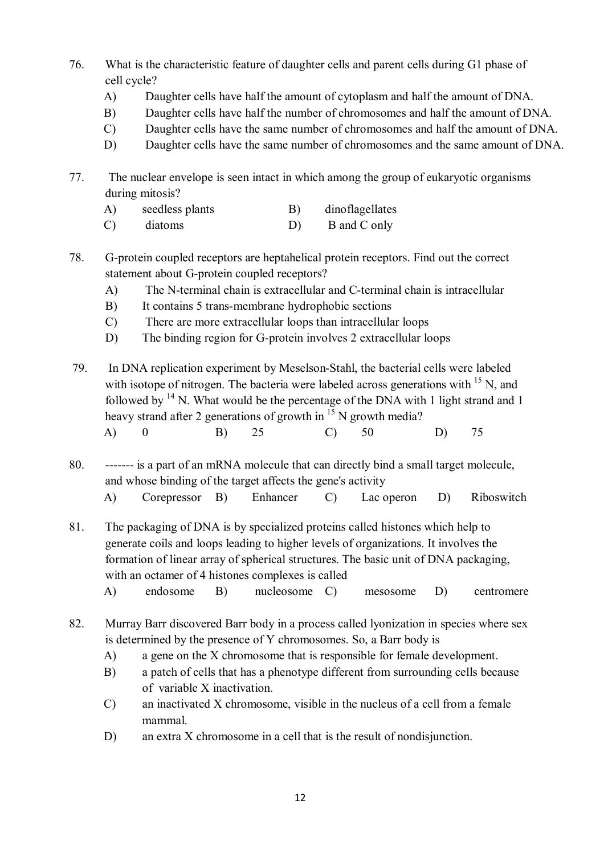- 76. What is the characteristic feature of daughter cells and parent cells during G1 phase of cell cycle?
	- A) Daughter cells have half the amount of cytoplasm and half the amount of DNA.
	- B) Daughter cells have half the number of chromosomes and half the amount of DNA.
	- C) Daughter cells have the same number of chromosomes and half the amount of DNA.
	- D) Daughter cells have the same number of chromosomes and the same amount of DNA.
- 77. The nuclear envelope is seen intact in which among the group of eukaryotic organisms during mitosis?
	- A) seedless plants B) dinoflagellates
	- C) diatoms D) B and C only
- 78. G-protein coupled receptors are heptahelical protein receptors. Find out the correct statement about G-protein coupled receptors?
	- A) The N-terminal chain is extracellular and C-terminal chain is intracellular
	- B) It contains 5 trans-membrane hydrophobic sections
	- C) There are more extracellular loops than intracellular loops
	- D) The binding region for G-protein involves 2 extracellular loops
- 79. In DNA replication experiment by Meselson-Stahl, the bacterial cells were labeled with isotope of nitrogen. The bacteria were labeled across generations with  $^{15}$  N, and followed by  $14$  N. What would be the percentage of the DNA with 1 light strand and 1 heavy strand after 2 generations of growth in  $15$  N growth media? A) 0 B) 25 C) 50 D) 75
- 80. ------- is a part of an mRNA molecule that can directly bind a small target molecule, and whose binding of the target affects the gene's activity
	- A) Corepressor B) Enhancer C) Lac operon D) Riboswitch
- 81. The packaging of DNA is by specialized proteins called histones which help to generate coils and loops leading to higher levels of organizations. It involves the formation of linear array of spherical structures. The basic unit of DNA packaging, with an octamer of 4 histones complexes is called
	- A) endosome B) nucleosome C) mesosome D) centromere
- 82. Murray Barr discovered Barr body in a process called lyonization in species where sex is determined by the presence of Y chromosomes. So, a Barr body is
	- A) a gene on the X chromosome that is responsible for female development.
	- B) a patch of cells that has a phenotype different from surrounding cells because of variable X inactivation.
	- C) an inactivated X chromosome, visible in the nucleus of a cell from a female mammal.
	- D) an extra X chromosome in a cell that is the result of nondisjunction.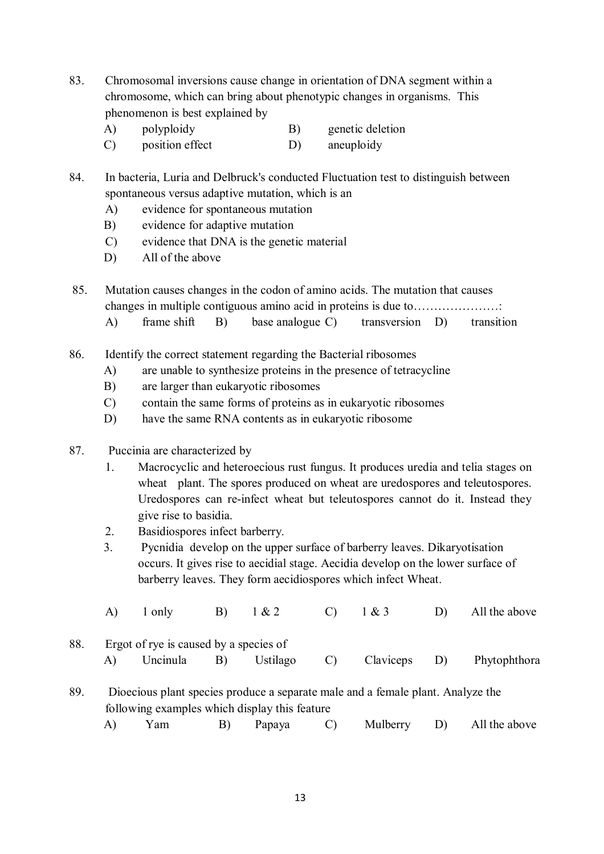- 83. Chromosomal inversions cause change in orientation of DNA segment within a chromosome, which can bring about phenotypic changes in organisms. This phenomenon is best explained by
	- A) polyploidy B) genetic deletion
	- C) position effect D) aneuploidy

84. In bacteria, Luria and Delbruck's conducted Fluctuation test to distinguish between spontaneous versus adaptive mutation, which is an

- A) evidence for spontaneous mutation
- B) evidence for adaptive mutation
- C) evidence that DNA is the genetic material
- D) All of the above

85. Mutation causes changes in the codon of amino acids. The mutation that causes changes in multiple contiguous amino acid in proteins is due to…………………:

- A) frame shift B) base analogue C) transversion D) transition
- 86. Identify the correct statement regarding the Bacterial ribosomes
	- A) are unable to synthesize proteins in the presence of tetracycline
	- B) are larger than eukaryotic ribosomes
	- C) contain the same forms of proteins as in eukaryotic ribosomes
	- D) have the same RNA contents as in eukaryotic ribosome
- 87. Puccinia are characterized by
	- 1. Macrocyclic and heteroecious rust fungus. It produces uredia and telia stages on wheat plant. The spores produced on wheat are uredospores and teleutospores. Uredospores can re-infect wheat but teleutospores cannot do it. Instead they give rise to basidia.
	- 2. Basidiospores infect barberry.
	- 3. Pycnidia develop on the upper surface of barberry leaves. Dikaryotisation occurs. It gives rise to aecidial stage. Aecidia develop on the lower surface of barberry leaves. They form aecidiospores which infect Wheat.

|  |  |  | A) $1 \text{ only }$ B) $1 \& 2$ C) $1 \& 3$ D) All the above |
|--|--|--|---------------------------------------------------------------|
|  |  |  |                                                               |

- 88. Ergot of rye is caused by a species of A) Uncinula B) Ustilago C) Claviceps D) Phytophthora
- 89. Dioecious plant species produce a separate male and a female plant. Analyze the following examples which display this feature A) Yam B) Papaya C) Mulberry D) All the above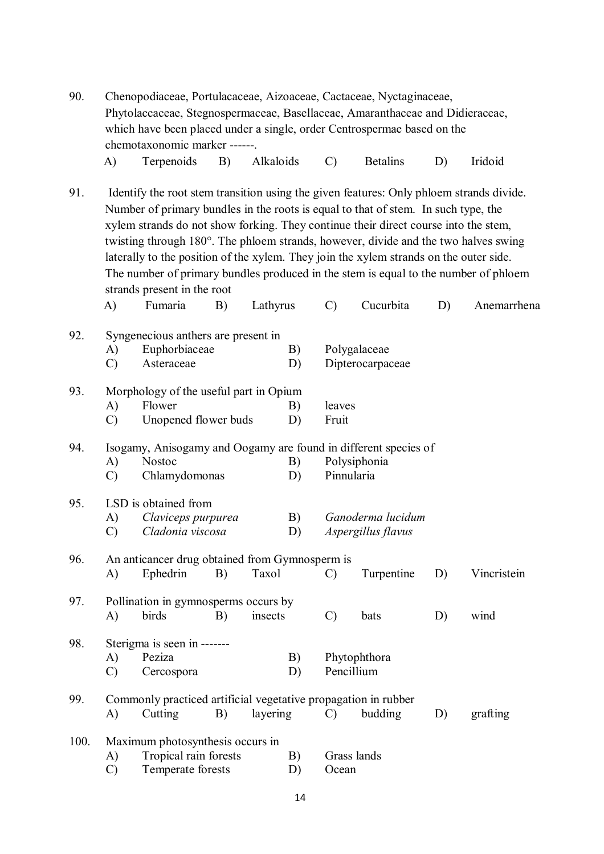| 90.  | Chenopodiaceae, Portulacaceae, Aizoaceae, Cactaceae, Nyctaginaceae,<br>Phytolaccaceae, Stegnospermaceae, Basellaceae, Amaranthaceae and Didieraceae,<br>which have been placed under a single, order Centrospermae based on the<br>chemotaxonomic marker ------. |                                                                                                                                                                                                                                                                                                                                                                                                                                                                                                                                                                                        |    |           |          |                      |                                         |    |             |
|------|------------------------------------------------------------------------------------------------------------------------------------------------------------------------------------------------------------------------------------------------------------------|----------------------------------------------------------------------------------------------------------------------------------------------------------------------------------------------------------------------------------------------------------------------------------------------------------------------------------------------------------------------------------------------------------------------------------------------------------------------------------------------------------------------------------------------------------------------------------------|----|-----------|----------|----------------------|-----------------------------------------|----|-------------|
|      | A)                                                                                                                                                                                                                                                               | Terpenoids                                                                                                                                                                                                                                                                                                                                                                                                                                                                                                                                                                             | B) | Alkaloids |          | $\mathcal{C}$        | <b>Betalins</b>                         | D) | Iridoid     |
| 91.  | A)                                                                                                                                                                                                                                                               | Identify the root stem transition using the given features: Only phloem strands divide.<br>Number of primary bundles in the roots is equal to that of stem. In such type, the<br>xylem strands do not show forking. They continue their direct course into the stem,<br>twisting through 180°. The phloem strands, however, divide and the two halves swing<br>laterally to the position of the xylem. They join the xylem strands on the outer side.<br>The number of primary bundles produced in the stem is equal to the number of phloem<br>strands present in the root<br>Fumaria | B) | Lathyrus  |          | $\mathcal{C}$        | Cucurbita                               | D) | Anemarrhena |
| 92.  | A)<br>$\mathcal{C}$                                                                                                                                                                                                                                              | Syngenecious anthers are present in<br>Euphorbiaceae<br>Asteraceae                                                                                                                                                                                                                                                                                                                                                                                                                                                                                                                     |    |           | B)<br>D) |                      | Polygalaceae<br>Dipterocarpaceae        |    |             |
| 93.  | A)<br>$\mathcal{C}$                                                                                                                                                                                                                                              | Morphology of the useful part in Opium<br>Flower<br>Unopened flower buds                                                                                                                                                                                                                                                                                                                                                                                                                                                                                                               |    |           |          | leaves<br>Fruit      |                                         |    |             |
| 94.  | A)<br>C)                                                                                                                                                                                                                                                         | Isogamy, Anisogamy and Oogamy are found in different species of<br><b>Nostoc</b><br>Chlamydomonas                                                                                                                                                                                                                                                                                                                                                                                                                                                                                      |    |           |          | Pinnularia           | Polysiphonia                            |    |             |
| 95.  | A)<br>$\mathcal{C}$                                                                                                                                                                                                                                              | LSD is obtained from<br>Claviceps purpurea<br>Cladonia viscosa                                                                                                                                                                                                                                                                                                                                                                                                                                                                                                                         |    |           | B)<br>D) |                      | Ganoderma lucidum<br>Aspergillus flavus |    |             |
| 96.  | A)                                                                                                                                                                                                                                                               | An anticancer drug obtained from Gymnosperm is<br>Ephedrin                                                                                                                                                                                                                                                                                                                                                                                                                                                                                                                             | B) | Taxol     |          | $\mathcal{C}$        | Turpentine                              | D) | Vincristein |
| 97.  | A)                                                                                                                                                                                                                                                               | Pollination in gymnosperms occurs by<br>birds                                                                                                                                                                                                                                                                                                                                                                                                                                                                                                                                          | B) | insects   |          | $\mathcal{C}$        | bats                                    | D) | wind        |
| 98.  | A)<br>$\mathcal{C}$                                                                                                                                                                                                                                              | Sterigma is seen in -------<br>Peziza<br>Cercospora                                                                                                                                                                                                                                                                                                                                                                                                                                                                                                                                    |    |           | B)<br>D) | Pencillium           | Phytophthora                            |    |             |
| 99.  | A)                                                                                                                                                                                                                                                               | Commonly practiced artificial vegetative propagation in rubber<br>Cutting                                                                                                                                                                                                                                                                                                                                                                                                                                                                                                              | B) | layering  |          | $\mathcal{C}$        | budding                                 | D) | grafting    |
| 100. | A)<br>$\mathcal{C}$                                                                                                                                                                                                                                              | Maximum photosynthesis occurs in<br>Tropical rain forests<br>Temperate forests                                                                                                                                                                                                                                                                                                                                                                                                                                                                                                         |    |           | B)<br>D) | Grass lands<br>Ocean |                                         |    |             |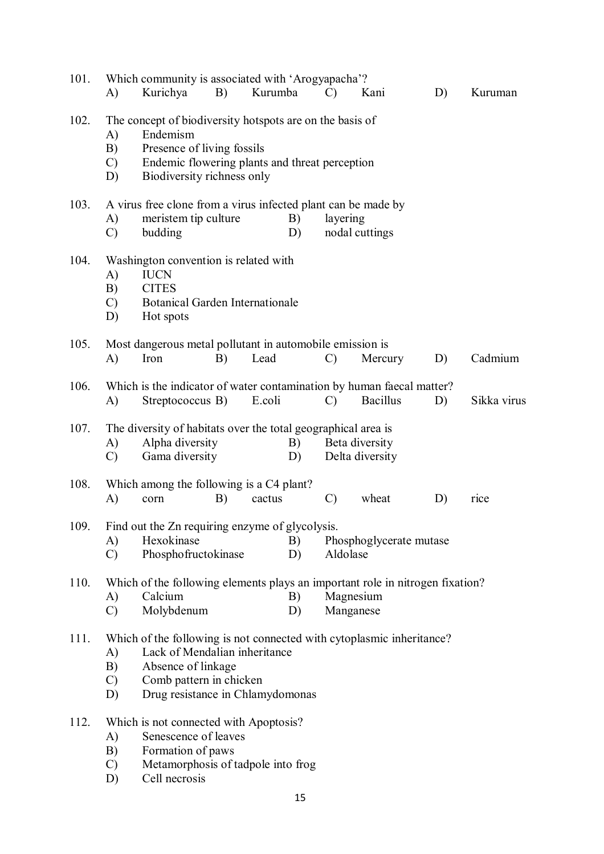| 101. | A)                              | Which community is associated with 'Arogyapacha'?<br>Kurichya                                                                                                                               | B) | Kurumba |          | C)            | Kani                              | D) | Kuruman     |
|------|---------------------------------|---------------------------------------------------------------------------------------------------------------------------------------------------------------------------------------------|----|---------|----------|---------------|-----------------------------------|----|-------------|
| 102. | A)<br>B)<br>$\mathcal{C}$<br>D) | The concept of biodiversity hotspots are on the basis of<br>Endemism<br>Presence of living fossils<br>Endemic flowering plants and threat perception<br>Biodiversity richness only          |    |         |          |               |                                   |    |             |
| 103. | A)<br>$\mathcal{C}$             | A virus free clone from a virus infected plant can be made by<br>meristem tip culture<br>budding                                                                                            |    |         | B)<br>D) | layering      | nodal cuttings                    |    |             |
| 104. | A)<br>B)<br>$\mathcal{C}$<br>D) | Washington convention is related with<br><b>IUCN</b><br><b>CITES</b><br><b>Botanical Garden Internationale</b><br>Hot spots                                                                 |    |         |          |               |                                   |    |             |
| 105. | A)                              | Most dangerous metal pollutant in automobile emission is<br>Iron                                                                                                                            | B) | Lead    |          | $\mathcal{C}$ | Mercury                           | D) | Cadmium     |
| 106. | A)                              | Which is the indicator of water contamination by human faecal matter?<br>Streptococcus B)                                                                                                   |    | E.coli  |          | $\mathcal{C}$ | <b>Bacillus</b>                   | D) | Sikka virus |
| 107. | A)<br>$\mathcal{C}$             | The diversity of habitats over the total geographical area is<br>Alpha diversity<br>Gama diversity                                                                                          |    |         | B)<br>D) |               | Beta diversity<br>Delta diversity |    |             |
| 108. | A)                              | Which among the following is a C4 plant?<br>corn                                                                                                                                            | B) | cactus  |          | $\mathcal{C}$ | wheat                             | D) | rice        |
| 109  | A)<br>$\mathcal{C}$             | Find out the Zn requiring enzyme of glycolysis.<br>Hexokinase<br>Phosphofructokinase                                                                                                        |    |         | B)<br>D) | Aldolase      | Phosphoglycerate mutase           |    |             |
| 110. | A)<br>$\mathcal{C}$             | Which of the following elements plays an important role in nitrogen fixation?<br>Calcium<br>Molybdenum                                                                                      |    |         | B)<br>D) |               | Magnesium<br>Manganese            |    |             |
| 111. | A)<br>B)<br>$\mathcal{C}$<br>D) | Which of the following is not connected with cytoplasmic inheritance?<br>Lack of Mendalian inheritance<br>Absence of linkage<br>Comb pattern in chicken<br>Drug resistance in Chlamydomonas |    |         |          |               |                                   |    |             |
| 112. | A)<br>B)<br>$\mathcal{C}$<br>D) | Which is not connected with Apoptosis?<br>Senescence of leaves<br>Formation of paws<br>Metamorphosis of tadpole into frog<br>Cell necrosis                                                  |    |         |          |               |                                   |    |             |
|      |                                 |                                                                                                                                                                                             |    |         | 15       |               |                                   |    |             |